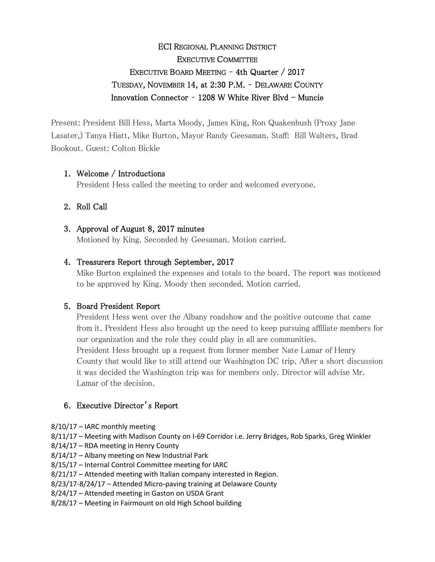# ECI REGIONAL PLANNING DISTRICT EXECUTIVE COMMITTEE EXECUTIVE BOARD MEETING – 4th Quarter / 2017 TUESDAY, NOVEMBER 14, at 2:30 P.M. – DELAWARE COUNTY Innovation Connector - 1208 W White River Blvd - Muncie

Present: President Bill Hess, Marta Moody, James King, Ron Quakenbush (Proxy Jane Lasater,) Tanya Hiatt, Mike Burton, Mayor Randy Geesaman. Staff: Bill Walters, Brad Bookout. Guest: Colton Bickle

### 1. Welcome / Introductions

President Hess called the meeting to order and welcomed everyone.

# 2. Roll Call

### 3. Approval of August 8, 2017 minutes

Motioned by King. Seconded by Geesaman. Motion carried.

### 4. Treasurers Report through September, 2017

Mike Burton explained the expenses and totals to the board. The report was motioned to be approved by King. Moody then seconded. Motion carried.

### 5. Board President Report

President Hess went over the Albany roadshow and the positive outcome that came from it. President Hess also brought up the need to keep pursuing affiliate members for our organization and the role they could play in all are communities. President Hess brought up a request from former member Nate Lamar of Henry County that would like to still attend our Washington DC trip. After a short discussion it was decided the Washington trip was for members only. Director will advise Mr. Lamar of the decision.

# 6. Executive Director's Report

8/10/17 – IARC monthly meeting

8/11/17 – Meeting with Madison County on I-69 Corridor i.e. Jerry Bridges, Rob Sparks, Greg Winkler

- 8/14/17 RDA meeting in Henry County
- 8/14/17 Albany meeting on New Industrial Park
- 8/15/17 Internal Control Committee meeting for IARC

8/21/17 – Attended meeting with Italian company interested in Region.

8/23/17-8/24/17 – Attended Micro-paving training at Delaware County

8/24/17 – Attended meeting in Gaston on USDA Grant

8/28/17 – Meeting in Fairmount on old High School building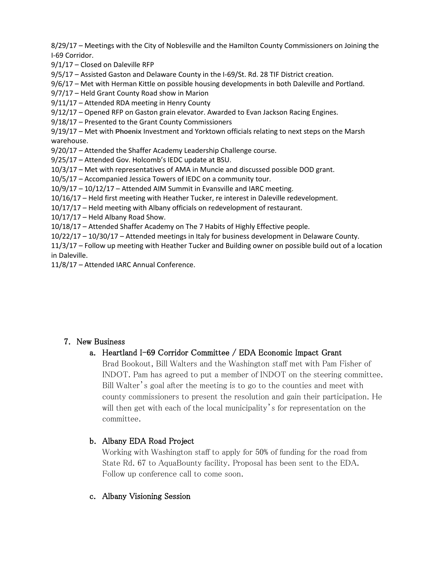8/29/17 – Meetings with the City of Noblesville and the Hamilton County Commissioners on Joining the I-69 Corridor.

9/1/17 – Closed on Daleville RFP

9/5/17 – Assisted Gaston and Delaware County in the I-69/St. Rd. 28 TIF District creation.

9/6/17 – Met with Herman Kittle on possible housing developments in both Daleville and Portland.

9/7/17 – Held Grant County Road show in Marion

9/11/17 – Attended RDA meeting in Henry County

9/12/17 – Opened RFP on Gaston grain elevator. Awarded to Evan Jackson Racing Engines.

9/18/17 – Presented to the Grant County Commissioners

9/19/17 – Met with **Phoenix** Investment and Yorktown officials relating to next steps on the Marsh warehouse.

9/20/17 – Attended the Shaffer Academy Leadership Challenge course.

9/25/17 – Attended Gov. Holcomb's IEDC update at BSU.

10/3/17 – Met with representatives of AMA in Muncie and discussed possible DOD grant.

10/5/17 – Accompanied Jessica Towers of IEDC on a community tour.

10/9/17 – 10/12/17 – Attended AIM Summit in Evansville and IARC meeting.

10/16/17 – Held first meeting with Heather Tucker, re interest in Daleville redevelopment.

10/17/17 – Held meeting with Albany officials on redevelopment of restaurant.

 $10/17/17$  – Held Albany Road Show.

10/18/17 – Attended Shaffer Academy on The 7 Habits of Highly Effective people.

10/22/17 – 10/30/17 – Attended meetings in Italy for business development in Delaware County.

11/3/17 – Follow up meeting with Heather Tucker and Building owner on possible build out of a location in Daleville.

11/8/17 – Attended IARC Annual Conference.

# 7. New Business

# a. Heartland I-69 Corridor Committee / EDA Economic Impact Grant

Brad Bookout, Bill Walters and the Washington staff met with Pam Fisher of INDOT. Pam has agreed to put a member of INDOT on the steering committee. Bill Walter's goal after the meeting is to go to the counties and meet with county commissioners to present the resolution and gain their participation. He will then get with each of the local municipality's for representation on the committee.

# b. Albany EDA Road Project

Working with Washington staff to apply for 50% of funding for the road from State Rd. 67 to AquaBounty facility. Proposal has been sent to the EDA. Follow up conference call to come soon.

### c. Albany Visioning Session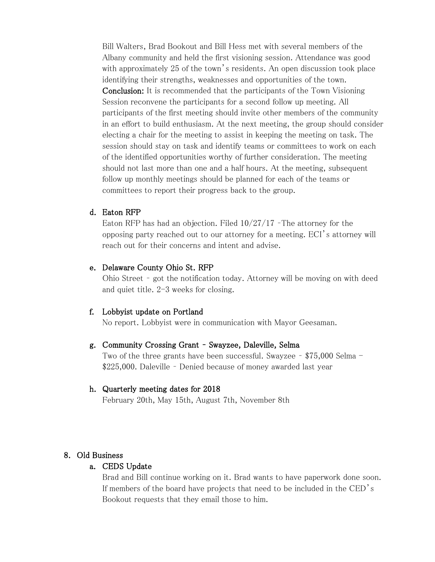Bill Walters, Brad Bookout and Bill Hess met with several members of the Albany community and held the first visioning session. Attendance was good with approximately 25 of the town's residents. An open discussion took place identifying their strengths, weaknesses and opportunities of the town. Conclusion: It is recommended that the participants of the Town Visioning Session reconvene the participants for a second follow up meeting. All participants of the first meeting should invite other members of the community in an effort to build enthusiasm. At the next meeting, the group should consider electing a chair for the meeting to assist in keeping the meeting on task. The session should stay on task and identify teams or committees to work on each of the identified opportunities worthy of further consideration. The meeting should not last more than one and a half hours. At the meeting, subsequent follow up monthly meetings should be planned for each of the teams or committees to report their progress back to the group.

### d. Eaton RFP

Eaton RFP has had an objection. Filed 10/27/17 –The attorney for the opposing party reached out to our attorney for a meeting. ECI's attorney will reach out for their concerns and intent and advise.

#### e. Delaware County Ohio St. RFP

Ohio Street – got the notification today. Attorney will be moving on with deed and quiet title. 2-3 weeks for closing.

#### f. Lobbyist update on Portland

No report. Lobbyist were in communication with Mayor Geesaman.

#### g. Community Crossing Grant – Swayzee, Daleville, Selma

Two of the three grants have been successful. Swayzee – \$75,000 Selma - \$225,000. Daleville – Denied because of money awarded last year

#### h. Quarterly meeting dates for 2018

February 20th, May 15th, August 7th, November 8th

### 8. Old Business

#### a. CEDS Update

Brad and Bill continue working on it. Brad wants to have paperwork done soon. If members of the board have projects that need to be included in the CED's Bookout requests that they email those to him.